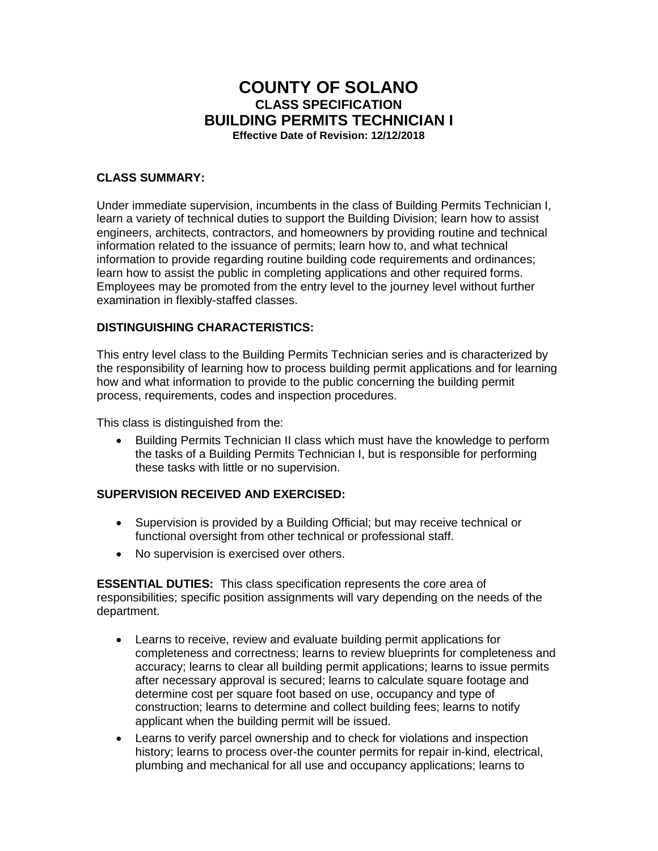# **COUNTY OF SOLANO CLASS SPECIFICATION BUILDING PERMITS TECHNICIAN I Effective Date of Revision: 12/12/2018**

#### **CLASS SUMMARY:**

Under immediate supervision, incumbents in the class of Building Permits Technician I, learn a variety of technical duties to support the Building Division; learn how to assist engineers, architects, contractors, and homeowners by providing routine and technical information related to the issuance of permits; learn how to, and what technical information to provide regarding routine building code requirements and ordinances; learn how to assist the public in completing applications and other required forms. Employees may be promoted from the entry level to the journey level without further examination in flexibly-staffed classes.

#### **DISTINGUISHING CHARACTERISTICS:**

This entry level class to the Building Permits Technician series and is characterized by the responsibility of learning how to process building permit applications and for learning how and what information to provide to the public concerning the building permit process, requirements, codes and inspection procedures.

This class is distinguished from the:

• Building Permits Technician II class which must have the knowledge to perform the tasks of a Building Permits Technician I, but is responsible for performing these tasks with little or no supervision.

#### **SUPERVISION RECEIVED AND EXERCISED:**

- Supervision is provided by a Building Official; but may receive technical or functional oversight from other technical or professional staff.
- No supervision is exercised over others.

**ESSENTIAL DUTIES:** This class specification represents the core area of responsibilities; specific position assignments will vary depending on the needs of the department.

- Learns to receive, review and evaluate building permit applications for completeness and correctness; learns to review blueprints for completeness and accuracy; learns to clear all building permit applications; learns to issue permits after necessary approval is secured; learns to calculate square footage and determine cost per square foot based on use, occupancy and type of construction; learns to determine and collect building fees; learns to notify applicant when the building permit will be issued.
- Learns to verify parcel ownership and to check for violations and inspection history; learns to process over-the counter permits for repair in-kind, electrical, plumbing and mechanical for all use and occupancy applications; learns to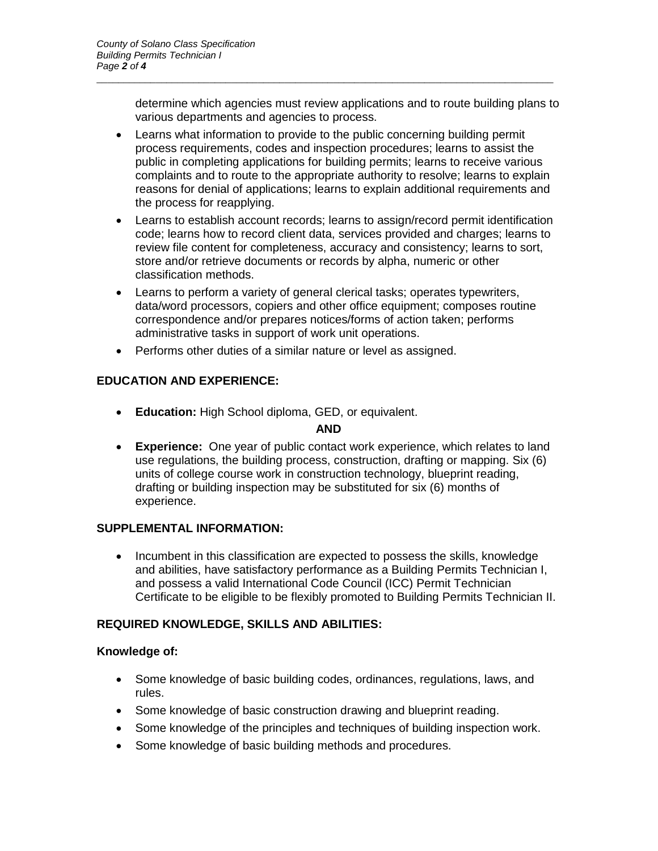determine which agencies must review applications and to route building plans to various departments and agencies to process.

• Learns what information to provide to the public concerning building permit process requirements, codes and inspection procedures; learns to assist the public in completing applications for building permits; learns to receive various complaints and to route to the appropriate authority to resolve; learns to explain reasons for denial of applications; learns to explain additional requirements and the process for reapplying.

*\_\_\_\_\_\_\_\_\_\_\_\_\_\_\_\_\_\_\_\_\_\_\_\_\_\_\_\_\_\_\_\_\_\_\_\_\_\_\_\_\_\_\_\_\_\_\_\_\_\_\_\_\_\_\_\_\_\_\_\_\_\_\_\_\_\_\_\_\_\_\_\_\_\_\_\_\_\_\_\_\_\_\_\_\_*

- Learns to establish account records; learns to assign/record permit identification code; learns how to record client data, services provided and charges; learns to review file content for completeness, accuracy and consistency; learns to sort, store and/or retrieve documents or records by alpha, numeric or other classification methods.
- Learns to perform a variety of general clerical tasks; operates typewriters, data/word processors, copiers and other office equipment; composes routine correspondence and/or prepares notices/forms of action taken; performs administrative tasks in support of work unit operations.
- Performs other duties of a similar nature or level as assigned.

## **EDUCATION AND EXPERIENCE:**

• **Education:** High School diploma, GED, or equivalent.

#### **AND**

• **Experience:** One year of public contact work experience, which relates to land use regulations, the building process, construction, drafting or mapping. Six (6) units of college course work in construction technology, blueprint reading, drafting or building inspection may be substituted for six (6) months of experience.

### **SUPPLEMENTAL INFORMATION:**

• Incumbent in this classification are expected to possess the skills, knowledge and abilities, have satisfactory performance as a Building Permits Technician I, and possess a valid International Code Council (ICC) Permit Technician Certificate to be eligible to be flexibly promoted to Building Permits Technician II.

### **REQUIRED KNOWLEDGE, SKILLS AND ABILITIES:**

### **Knowledge of:**

- Some knowledge of basic building codes, ordinances, regulations, laws, and rules.
- Some knowledge of basic construction drawing and blueprint reading.
- Some knowledge of the principles and techniques of building inspection work.
- Some knowledge of basic building methods and procedures.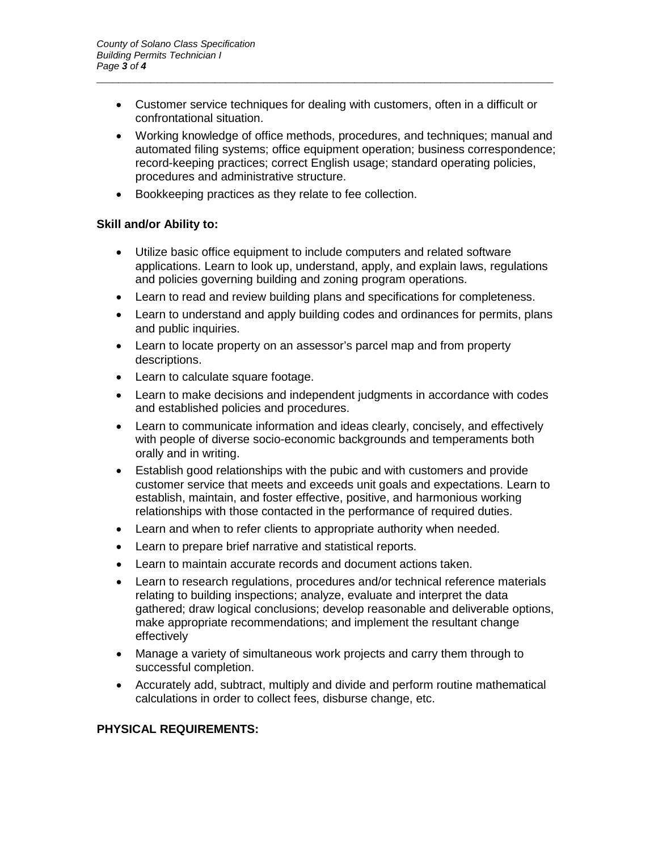• Customer service techniques for dealing with customers, often in a difficult or confrontational situation.

*\_\_\_\_\_\_\_\_\_\_\_\_\_\_\_\_\_\_\_\_\_\_\_\_\_\_\_\_\_\_\_\_\_\_\_\_\_\_\_\_\_\_\_\_\_\_\_\_\_\_\_\_\_\_\_\_\_\_\_\_\_\_\_\_\_\_\_\_\_\_\_\_\_\_\_\_\_\_\_\_\_\_\_\_\_*

- Working knowledge of office methods, procedures, and techniques; manual and automated filing systems; office equipment operation; business correspondence; record-keeping practices; correct English usage; standard operating policies, procedures and administrative structure.
- Bookkeeping practices as they relate to fee collection.

### **Skill and/or Ability to:**

- Utilize basic office equipment to include computers and related software applications. Learn to look up, understand, apply, and explain laws, regulations and policies governing building and zoning program operations.
- Learn to read and review building plans and specifications for completeness.
- Learn to understand and apply building codes and ordinances for permits, plans and public inquiries.
- Learn to locate property on an assessor's parcel map and from property descriptions.
- Learn to calculate square footage.
- Learn to make decisions and independent judgments in accordance with codes and established policies and procedures.
- Learn to communicate information and ideas clearly, concisely, and effectively with people of diverse socio-economic backgrounds and temperaments both orally and in writing.
- Establish good relationships with the pubic and with customers and provide customer service that meets and exceeds unit goals and expectations. Learn to establish, maintain, and foster effective, positive, and harmonious working relationships with those contacted in the performance of required duties.
- Learn and when to refer clients to appropriate authority when needed.
- Learn to prepare brief narrative and statistical reports.
- Learn to maintain accurate records and document actions taken.
- Learn to research regulations, procedures and/or technical reference materials relating to building inspections; analyze, evaluate and interpret the data gathered; draw logical conclusions; develop reasonable and deliverable options, make appropriate recommendations; and implement the resultant change effectively
- Manage a variety of simultaneous work projects and carry them through to successful completion.
- Accurately add, subtract, multiply and divide and perform routine mathematical calculations in order to collect fees, disburse change, etc.

# **PHYSICAL REQUIREMENTS:**